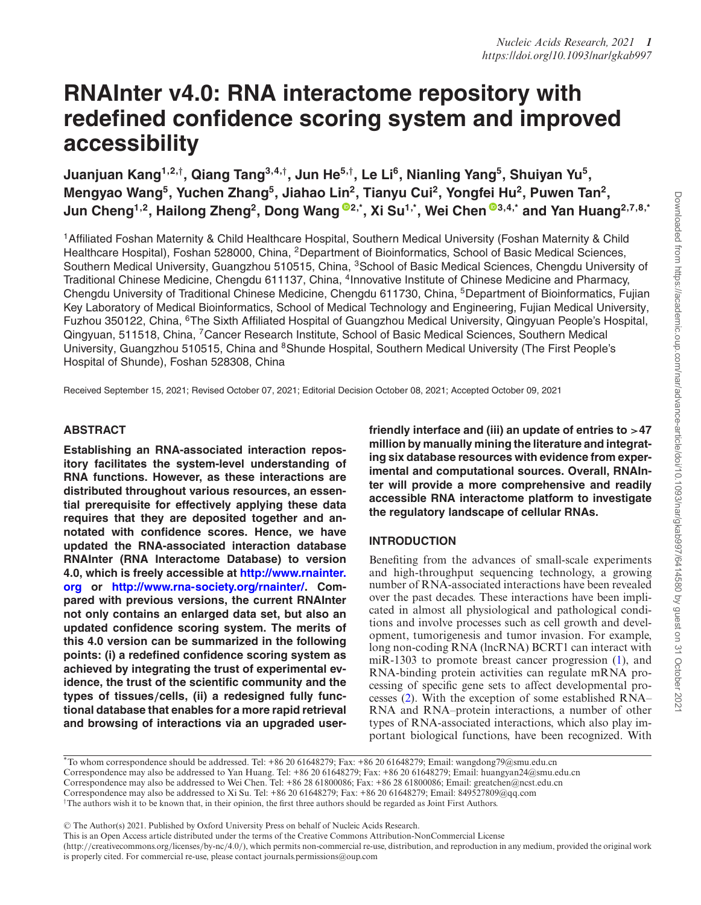# **RNAInter v4.0: RNA interactome repository with redefined confidence scoring system and improved accessibility**

**Juanjuan Kang1,2,***†***, Qiang Tang3,4,***†***, Jun He5,***†***, Le Li6, Nianling Yang5, Shuiyan Yu5, Mengyao Wang5, Yuchen Zhang5, Jiahao Lin2, Tianyu Cui2, Yongfei Hu2, Puwen Tan2, Jun Cheng1,2, Hailong Zheng2, Dong Wang [2](https://orcid.org/0000-0003-0988-7405),\*, Xi Su1,\*, Wei Chen [3](https://orcid.org/0000-0002-6857-7696),4,\* and Yan Huang2,7,8,\***

1Affiliated Foshan Maternity & Child Healthcare Hospital, Southern Medical University (Foshan Maternity & Child Healthcare Hospital), Foshan 528000, China, <sup>2</sup>Department of Bioinformatics, School of Basic Medical Sciences, Southern Medical University, Guangzhou 510515, China, 3School of Basic Medical Sciences, Chengdu University of Traditional Chinese Medicine, Chengdu 611137, China, 4Innovative Institute of Chinese Medicine and Pharmacy, Chengdu University of Traditional Chinese Medicine, Chengdu 611730, China, <sup>5</sup>Department of Bioinformatics, Fujian Key Laboratory of Medical Bioinformatics, School of Medical Technology and Engineering, Fujian Medical University, Fuzhou 350122, China, 6The Sixth Affiliated Hospital of Guangzhou Medical University, Qingyuan People's Hospital, Qingyuan, 511518, China, 7Cancer Research Institute, School of Basic Medical Sciences, Southern Medical University, Guangzhou 510515, China and <sup>8</sup>Shunde Hospital, Southern Medical University (The First People's Hospital of Shunde), Foshan 528308, China

Received September 15, 2021; Revised October 07, 2021; Editorial Decision October 08, 2021; Accepted October 09, 2021

# **ABSTRACT**

**Establishing an RNA-associated interaction repository facilitates the system-level understanding of RNA functions. However, as these interactions are distributed throughout various resources, an essential prerequisite for effectively applying these data requires that they are deposited together and annotated with confidence scores. Hence, we have updated the RNA-associated interaction database RNAInter (RNA Interactome Database) to version 4.0, which is freely accessible at http://www.rnainter. org or [http://www.rna-society.org/rnainter/. Com](http://www.rnainter.org)pared with previous versions, the current RNAInter not only contains an enlarged data set, but also an updated confidence scoring system. The merits of this 4.0 version can be summarized in the following points: (i) a redefined confidence scoring system as achieved by integrating the trust of experimental evidence, the trust of the scientific community and the types of tissues***/***cells, (ii) a redesigned fully functional database that enables for a more rapid retrieval and browsing of interactions via an upgraded user-** **friendly interface and (iii) an update of entries to** *>***47 million by manually mining the literature and integrating six database resources with evidence from experimental and computational sources. Overall, RNAInter will provide a more comprehensive and readily accessible RNA interactome platform to investigate the regulatory landscape of cellular RNAs.**

# **INTRODUCTION**

Benefiting from the advances of small-scale experiments and high-throughput sequencing technology, a growing number of RNA-associated interactions have been revealed over the past decades. These interactions have been implicated in almost all physiological and pathological conditions and involve processes such as cell growth and development, tumorigenesis and tumor invasion. For example, long non-coding RNA (lncRNA) BCRT1 can interact with miR-1303 to promote breast cancer progression [\(1\)](#page-5-0), and RNA-binding protein activities can regulate mRNA processing of specific gene sets to affect developmental processes [\(2\)](#page-5-0). With the exception of some established RNA– RNA and RNA–protein interactions, a number of other types of RNA-associated interactions, which also play important biological functions, have been recognized. With

\*To whom correspondence should be addressed. Tel: +86 20 61648279; Fax: +86 20 61648279; Email: wangdong79@smu.edu.cn Correspondence may also be addressed to Yan Huang. Tel: +86 20 61648279; Fax: +86 20 61648279; Email: huangyan24@smu.edu.cn Correspondence may also be addressed to Wei Chen. Tel: +86 28 61800086; Fax: +86 28 61800086; Email: greatchen@ncst.edu.cn Correspondence may also be addressed to Xi Su. Tel: +86 20 61648279; Fax: +86 20 61648279; Email: 849527809@qq.com <sup> $\dagger$ </sup>The authors wish it to be known that, in their opinion, the first three authors should be regarded as Joint First Authors.

-<sup>C</sup> The Author(s) 2021. Published by Oxford University Press on behalf of Nucleic Acids Research.

(http://creativecommons.org/licenses/by-nc/4.0/), which permits non-commercial re-use, distribution, and reproduction in any medium, provided the original work is properly cited. For commercial re-use, please contact journals.permissions@oup.com

This is an Open Access article distributed under the terms of the Creative Commons Attribution-NonCommercial License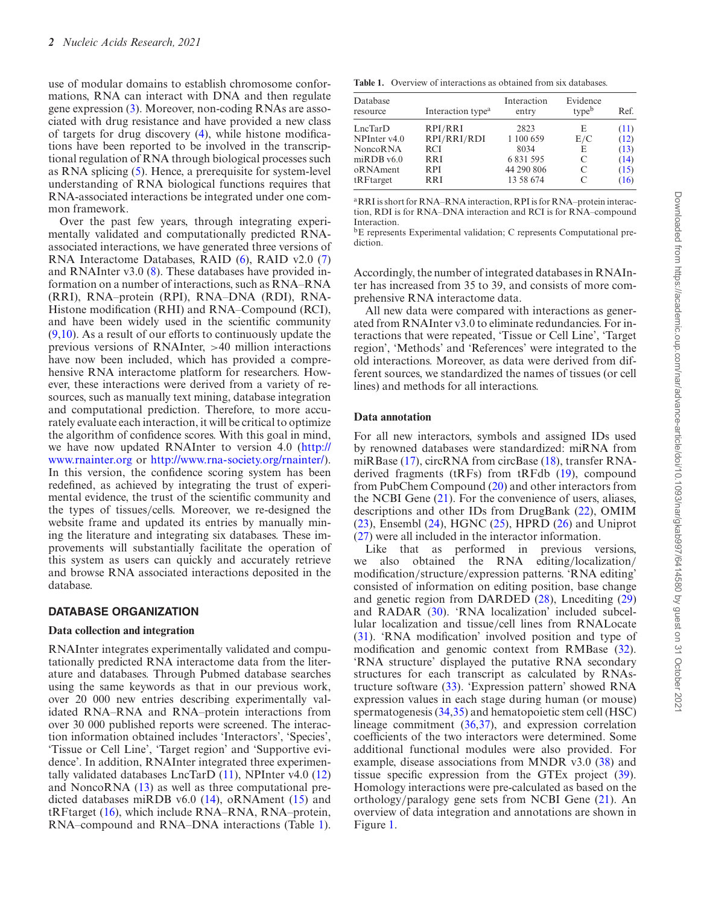use of modular domains to establish chromosome conformations, RNA can interact with DNA and then regulate gene expression [\(3\)](#page-5-0). Moreover, non-coding RNAs are associated with drug resistance and have provided a new class of targets for drug discovery [\(4\)](#page-5-0), while histone modifications have been reported to be involved in the transcriptional regulation of RNA through biological processes such as RNA splicing [\(5\)](#page-5-0). Hence, a prerequisite for system-level understanding of RNA biological functions requires that RNA-associated interactions be integrated under one common framework.

Over the past few years, through integrating experimentally validated and computationally predicted RNAassociated interactions, we have generated three versions of RNA Interactome Databases, RAID [\(6\)](#page-5-0), RAID v2.0 [\(7\)](#page-5-0) and RNAInter v3.0 [\(8\)](#page-5-0). These databases have provided information on a number of interactions, such as RNA–RNA (RRI), RNA–protein (RPI), RNA–DNA (RDI), RNA-Histone modification (RHI) and RNA–Compound (RCI), and have been widely used in the scientific community  $(9,10)$ . As a result of our efforts to continuously update the previous versions of RNAInter, >40 million interactions have now been included, which has provided a comprehensive RNA interactome platform for researchers. However, these interactions were derived from a variety of resources, such as manually text mining, database integration and computational prediction. Therefore, to more accurately evaluate each interaction, it will be critical to optimize the algorithm of confidence scores. With this goal in mind, [we have now updated RNAInter to version 4.0 \(http://](http://www.rnainter.org) www.rnainter.org or [http://www.rna-society.org/rnainter/\)](http://www.rna-society.org/rnainter/). In this version, the confidence scoring system has been redefined, as achieved by integrating the trust of experimental evidence, the trust of the scientific community and the types of tissues/cells. Moreover, we re-designed the website frame and updated its entries by manually mining the literature and integrating six databases. These improvements will substantially facilitate the operation of this system as users can quickly and accurately retrieve and browse RNA associated interactions deposited in the database.

## **DATABASE ORGANIZATION**

#### **Data collection and integration**

RNAInter integrates experimentally validated and computationally predicted RNA interactome data from the literature and databases. Through Pubmed database searches using the same keywords as that in our previous work, over 20 000 new entries describing experimentally validated RNA–RNA and RNA–protein interactions from over 30 000 published reports were screened. The interaction information obtained includes 'Interactors', 'Species', 'Tissue or Cell Line', 'Target region' and 'Supportive evidence'. In addition, RNAInter integrated three experimentally validated databases  $LncTarD (11)$  $LncTarD (11)$ , NPInter v4.0 [\(12\)](#page-5-0) and NoncoRNA [\(13\)](#page-5-0) as well as three computational predicted databases miRDB v6.0 [\(14\)](#page-5-0), oRNAment [\(15\)](#page-5-0) and tRFtarget [\(16\)](#page-5-0), which include RNA–RNA, RNA–protein, RNA–compound and RNA–DNA interactions (Table 1).

Table 1. Overview of interactions as obtained from six databases.

| Database<br>resource                  | Interaction type <sup>a</sup> | Interaction<br>entry | Evidence<br>typeb | Ref. |
|---------------------------------------|-------------------------------|----------------------|-------------------|------|
| LncTarD                               | RPI/RRI                       | 2823                 | E                 | (11) |
| $NPI$ nter v4.0                       | RPI/RRI/RDI                   | 1 100 659            | E/C               | (12) |
| <b>NoncoRNA</b>                       | <b>RCI</b>                    | 8034                 | E                 | (13) |
| $m$ <sub>RDB</sub> $v$ <sub>6.0</sub> | <b>RRI</b>                    | 6 8 31 5 95          | C                 | (14) |
| oRNAment                              | <b>RPI</b>                    | 44 290 806           | C                 | (15) |
| tRFtarget                             | <b>RRI</b>                    | 13 58 674            | C                 | (16) |

aRRI is short for RNA–RNA interaction, RPI is for RNA–protein interaction, RDI is for RNA–DNA interaction and RCI is for RNA–compound Interaction.

bE represents Experimental validation; C represents Computational prediction.

Accordingly, the number of integrated databases in RNAInter has increased from 35 to 39, and consists of more comprehensive RNA interactome data.

All new data were compared with interactions as generated from RNAInter v3.0 to eliminate redundancies. For interactions that were repeated, 'Tissue or Cell Line', 'Target region', 'Methods' and 'References' were integrated to the old interactions. Moreover, as data were derived from different sources, we standardized the names of tissues (or cell lines) and methods for all interactions.

#### **Data annotation**

For all new interactors, symbols and assigned IDs used by renowned databases were standardized: miRNA from miRBase [\(17\)](#page-5-0), circRNA from circBase [\(18\)](#page-5-0), transfer RNAderived fragments (tRFs) from tRFdb [\(19\)](#page-5-0), compound from PubChem Compound [\(20\)](#page-5-0) and other interactors from the NCBI Gene [\(21\)](#page-5-0). For the convenience of users, aliases, descriptions and other IDs from DrugBank [\(22\)](#page-5-0), OMIM  $(23)$ , Ensembl  $(24)$ , HGNC  $(25)$ , HPRD  $(26)$  and Uniprot [\(27\)](#page-5-0) were all included in the interactor information.

Like that as performed in previous versions, we also obtained the RNA editing/localization/ modification/structure/expression patterns. 'RNA editing' consisted of information on editing position, base change and genetic region from DARDED [\(28\)](#page-5-0), Lncediting [\(29\)](#page-5-0) and RADAR [\(30\)](#page-6-0). 'RNA localization' included subcellular localization and tissue/cell lines from RNALocate [\(31\)](#page-6-0). 'RNA modification' involved position and type of modification and genomic context from RMBase [\(32\)](#page-6-0). 'RNA structure' displayed the putative RNA secondary structures for each transcript as calculated by RNAstructure software [\(33\)](#page-6-0). 'Expression pattern' showed RNA expression values in each stage during human (or mouse) spermatogenesis [\(34,35\)](#page-6-0) and hematopoietic stem cell (HSC) lineage commitment [\(36,37\)](#page-6-0), and expression correlation coefficients of the two interactors were determined. Some additional functional modules were also provided. For example, disease associations from MNDR v3.0 [\(38\)](#page-6-0) and tissue specific expression from the GTEx project [\(39\)](#page-6-0). Homology interactions were pre-calculated as based on the orthology/paralogy gene sets from NCBI Gene [\(21\)](#page-5-0). An overview of data integration and annotations are shown in Figure [1.](#page-2-0)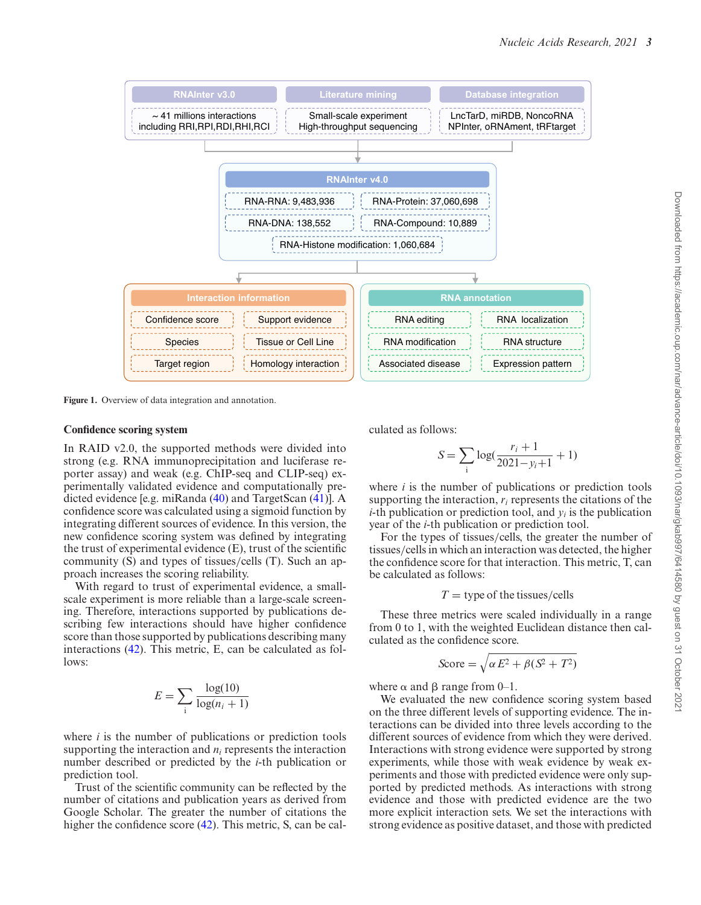<span id="page-2-0"></span>

**Figure 1.** Overview of data integration and annotation.

#### **Confidence scoring system**

In RAID v2.0, the supported methods were divided into strong (e.g. RNA immunoprecipitation and luciferase reporter assay) and weak (e.g. ChIP-seq and CLIP-seq) experimentally validated evidence and computationally predicted evidence [e.g. miRanda [\(40\)](#page-6-0) and TargetScan [\(41\)](#page-6-0)]. A confidence score was calculated using a sigmoid function by integrating different sources of evidence. In this version, the new confidence scoring system was defined by integrating the trust of experimental evidence (E), trust of the scientific community  $(S)$  and types of tissues/cells  $(T)$ . Such an approach increases the scoring reliability.

With regard to trust of experimental evidence, a smallscale experiment is more reliable than a large-scale screening. Therefore, interactions supported by publications describing few interactions should have higher confidence score than those supported by publications describing many interactions [\(42\)](#page-6-0). This metric, E, can be calculated as follows:

$$
E = \sum_{i} \frac{\log(10)}{\log(n_i + 1)}
$$

where *i* is the number of publications or prediction tools supporting the interaction and *ni* represents the interaction number described or predicted by the *i*-th publication or prediction tool.

Trust of the scientific community can be reflected by the number of citations and publication years as derived from Google Scholar. The greater the number of citations the higher the confidence score [\(42\)](#page-6-0). This metric, S, can be calculated as follows:

$$
S = \sum_{i} \log(\frac{r_i + 1}{2021 - y_i + 1} + 1)
$$

where *i* is the number of publications or prediction tools supporting the interaction,  $r_i$  represents the citations of the *i*-th publication or prediction tool, and  $y_i$  is the publication year of the *i*-th publication or prediction tool.

For the types of tissues/cells, the greater the number of tissues/cells in which an interaction was detected, the higher the confidence score for that interaction. This metric, T, can be calculated as follows:

 $T =$  type of the tissues/cells

These three metrics were scaled individually in a range from 0 to 1, with the weighted Euclidean distance then calculated as the confidence score.

$$
\text{Score} = \sqrt{\alpha E^2 + \beta (S^2 + T^2)}
$$

where  $\alpha$  and  $\beta$  range from 0–1.

We evaluated the new confidence scoring system based on the three different levels of supporting evidence. The interactions can be divided into three levels according to the different sources of evidence from which they were derived. Interactions with strong evidence were supported by strong experiments, while those with weak evidence by weak experiments and those with predicted evidence were only supported by predicted methods. As interactions with strong evidence and those with predicted evidence are the two more explicit interaction sets. We set the interactions with strong evidence as positive dataset, and those with predicted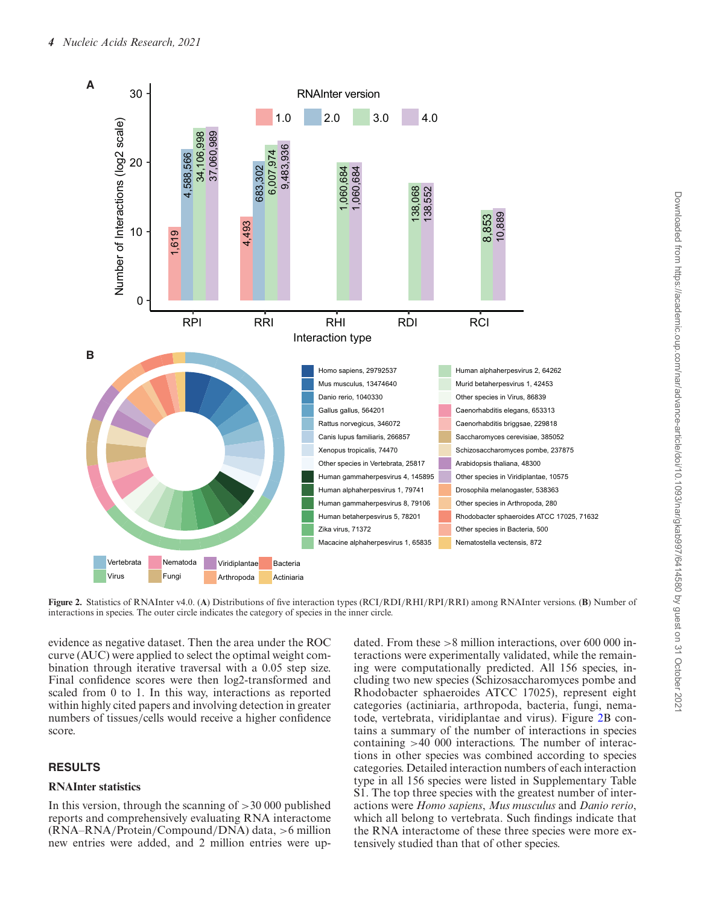

**Figure 2.** Statistics of RNAInter v4.0. (**A**) Distributions of five interaction types (RCI/RDI/RHI/RPI/RRI) among RNAInter versions. (**B**) Number of interactions in species. The outer circle indicates the category of species in the inner circle.

evidence as negative dataset. Then the area under the ROC curve (AUC) were applied to select the optimal weight combination through iterative traversal with a 0.05 step size. Final confidence scores were then log2-transformed and scaled from 0 to 1. In this way, interactions as reported within highly cited papers and involving detection in greater numbers of tissues/cells would receive a higher confidence score.

## **RESULTS**

## **RNAInter statistics**

In this version, through the scanning of  $>30000$  published reports and comprehensively evaluating RNA interactome (RNA–RNA/Protein/Compound/DNA) data, >6 million new entries were added, and 2 million entries were up-

dated. From these  $>8$  million interactions, over 600 000 interactions were experimentally validated, while the remaining were computationally predicted. All 156 species, including two new species (Schizosaccharomyces pombe and Rhodobacter sphaeroides ATCC 17025), represent eight categories (actiniaria, arthropoda, bacteria, fungi, nematode, vertebrata, viridiplantae and virus). Figure 2B contains a summary of the number of interactions in species containing >40 000 interactions. The number of interactions in other species was combined according to species categories. Detailed interaction numbers of each interaction type in all 156 species were listed in Supplementary Table S1. The top three species with the greatest number of interactions were *Homo sapiens*, *Mus musculus* and *Danio rerio*, which all belong to vertebrata. Such findings indicate that the RNA interactome of these three species were more extensively studied than that of other species.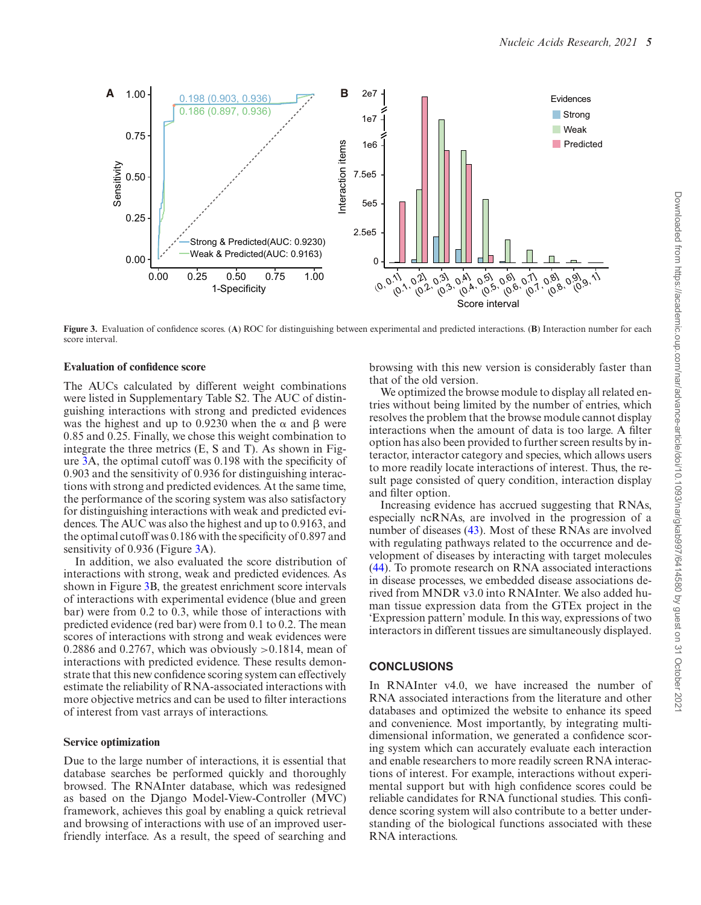

**Figure 3.** Evaluation of confidence scores. (**A**) ROC for distinguishing between experimental and predicted interactions. (**B**) Interaction number for each score interval.

#### **Evaluation of confidence score**

The AUCs calculated by different weight combinations were listed in Supplementary Table S2. The AUC of distinguishing interactions with strong and predicted evidences was the highest and up to 0.9230 when the  $\alpha$  and  $\beta$  were 0.85 and 0.25. Finally, we chose this weight combination to integrate the three metrics (E, S and T). As shown in Figure 3A, the optimal cutoff was 0.198 with the specificity of 0.903 and the sensitivity of 0.936 for distinguishing interactions with strong and predicted evidences. At the same time, the performance of the scoring system was also satisfactory for distinguishing interactions with weak and predicted evidences. The AUC was also the highest and up to 0.9163, and the optimal cutoff was 0.186 with the specificity of 0.897 and sensitivity of 0.936 (Figure 3A).

In addition, we also evaluated the score distribution of interactions with strong, weak and predicted evidences. As shown in Figure 3B, the greatest enrichment score intervals of interactions with experimental evidence (blue and green bar) were from 0.2 to 0.3, while those of interactions with predicted evidence (red bar) were from 0.1 to 0.2. The mean scores of interactions with strong and weak evidences were 0.2886 and 0.2767, which was obviously  $>0.1814$ , mean of interactions with predicted evidence. These results demonstrate that this new confidence scoring system can effectively estimate the reliability of RNA-associated interactions with more objective metrics and can be used to filter interactions of interest from vast arrays of interactions.

#### **Service optimization**

Due to the large number of interactions, it is essential that database searches be performed quickly and thoroughly browsed. The RNAInter database, which was redesigned as based on the Django Model-View-Controller (MVC) framework, achieves this goal by enabling a quick retrieval and browsing of interactions with use of an improved userfriendly interface. As a result, the speed of searching and browsing with this new version is considerably faster than that of the old version.

We optimized the browse module to display all related entries without being limited by the number of entries, which resolves the problem that the browse module cannot display interactions when the amount of data is too large. A filter option has also been provided to further screen results by interactor, interactor category and species, which allows users to more readily locate interactions of interest. Thus, the result page consisted of query condition, interaction display and filter option.

Increasing evidence has accrued suggesting that RNAs, especially ncRNAs, are involved in the progression of a number of diseases [\(43\)](#page-6-0). Most of these RNAs are involved with regulating pathways related to the occurrence and development of diseases by interacting with target molecules [\(44\)](#page-6-0). To promote research on RNA associated interactions in disease processes, we embedded disease associations derived from MNDR v3.0 into RNAInter. We also added human tissue expression data from the GTEx project in the 'Expression pattern' module. In this way, expressions of two interactors in different tissues are simultaneously displayed.

#### **CONCLUSIONS**

In RNAInter v4.0, we have increased the number of RNA associated interactions from the literature and other databases and optimized the website to enhance its speed and convenience. Most importantly, by integrating multidimensional information, we generated a confidence scoring system which can accurately evaluate each interaction and enable researchers to more readily screen RNA interactions of interest. For example, interactions without experimental support but with high confidence scores could be reliable candidates for RNA functional studies. This confidence scoring system will also contribute to a better understanding of the biological functions associated with these RNA interactions.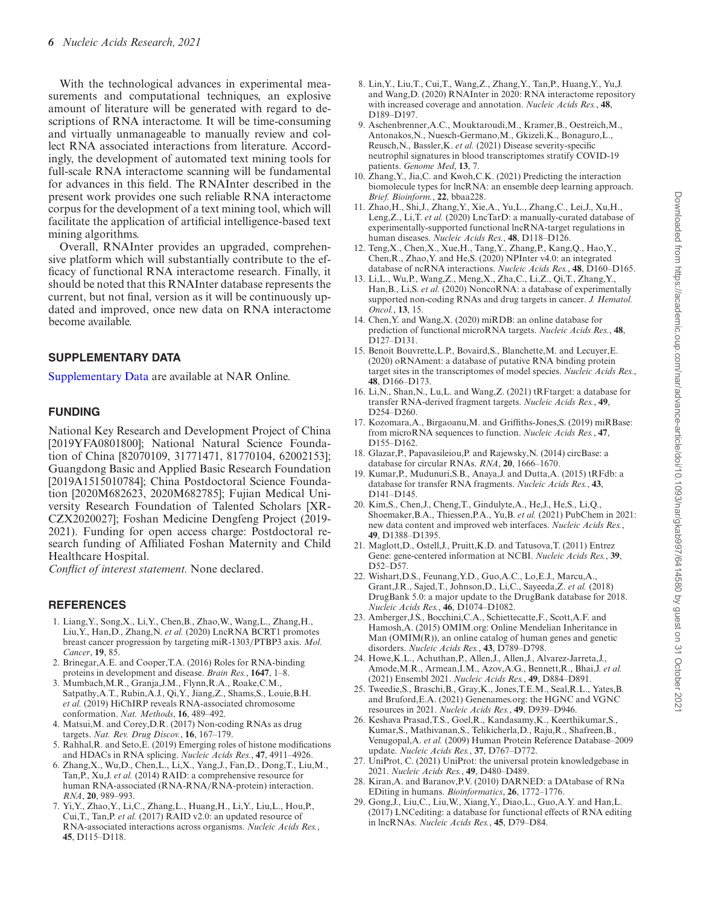<span id="page-5-0"></span>With the technological advances in experimental measurements and computational techniques, an explosive amount of literature will be generated with regard to descriptions of RNA interactome. It will be time-consuming and virtually unmanageable to manually review and collect RNA associated interactions from literature. Accordingly, the development of automated text mining tools for full-scale RNA interactome scanning will be fundamental for advances in this field. The RNAInter described in the present work provides one such reliable RNA interactome corpus for the development of a text mining tool, which will facilitate the application of artificial intelligence-based text mining algorithms.

Overall, RNAInter provides an upgraded, comprehensive platform which will substantially contribute to the efficacy of functional RNA interactome research. Finally, it should be noted that this RNAInter database represents the current, but not final, version as it will be continuously updated and improved, once new data on RNA interactome become available.

## **SUPPLEMENTARY DATA**

[Supplementary Data](https://academic.oup.com/nar/article-lookup/doi/10.1093/nar/gkab997#supplementary-data) are available at NAR Online.

## **FUNDING**

National Key Research and Development Project of China [2019YFA0801800]; National Natural Science Foundation of China [82070109, 31771471, 81770104, 62002153]; Guangdong Basic and Applied Basic Research Foundation [2019A1515010784]; China Postdoctoral Science Foundation [2020M682623, 2020M682785]; Fujian Medical University Research Foundation of Talented Scholars [XR-CZX2020027]; Foshan Medicine Dengfeng Project (2019- 2021). Funding for open access charge: Postdoctoral research funding of Affiliated Foshan Maternity and Child Healthcare Hospital.

*Conflict of interest statement.* None declared.

## **REFERENCES**

- 1. Liang,Y., Song,X., Li,Y., Chen,B., Zhao,W., Wang,L., Zhang,H., Liu,Y., Han,D., Zhang,N. *et al.* (2020) LncRNA BCRT1 promotes breast cancer progression by targeting miR-1303/PTBP3 axis. *Mol. Cancer*, **19**, 85.
- 2. Brinegar,A.E. and Cooper,T.A. (2016) Roles for RNA-binding proteins in development and disease. *Brain Res.*, **1647**, 1–8.
- 3. Mumbach,M.R., Granja,J.M., Flynn,R.A., Roake,C.M., Satpathy,A.T., Rubin,A.J., Qi,Y., Jiang,Z., Shams,S., Louie,B.H. *et al.* (2019) HiChIRP reveals RNA-associated chromosome conformation. *Nat. Methods*, **16**, 489–492.
- 4. Matsui,M. and Corey,D.R. (2017) Non-coding RNAs as drug targets. *Nat. Rev. Drug Discov.*, **16**, 167–179.
- 5. Rahhal,R. and Seto,E. (2019) Emerging roles of histone modifications and HDACs in RNA splicing. *Nucleic Acids Res.*, **47**, 4911–4926.
- 6. Zhang,X., Wu,D., Chen,L., Li,X., Yang,J., Fan,D., Dong,T., Liu,M., Tan,P., Xu,J. *et al.* (2014) RAID: a comprehensive resource for human RNA-associated (RNA-RNA/RNA-protein) interaction. *RNA*, **20**, 989–993.
- 7. Yi,Y., Zhao,Y., Li,C., Zhang,L., Huang,H., Li,Y., Liu,L., Hou,P., Cui,T., Tan,P. *et al.* (2017) RAID v2.0: an updated resource of RNA-associated interactions across organisms. *Nucleic Acids Res.*, **45**, D115–D118.
- 8. Lin,Y., Liu,T., Cui,T., Wang,Z., Zhang,Y., Tan,P., Huang,Y., Yu,J. and Wang,D. (2020) RNAInter in 2020: RNA interactome repository with increased coverage and annotation. *Nucleic Acids Res.*, **48**, D189–D197.
- 9. Aschenbrenner,A.C., Mouktaroudi,M., Kramer,B., Oestreich,M., Antonakos,N., Nuesch-Germano,M., Gkizeli,K., Bonaguro,L., Reusch,N., Bassler,K. *et al.* (2021) Disease severity-specific neutrophil signatures in blood transcriptomes stratify COVID-19 patients. *Genome Med*, **13**, 7.
- 10. Zhang,Y., Jia,C. and Kwoh,C.K. (2021) Predicting the interaction biomolecule types for lncRNA: an ensemble deep learning approach. *Brief. Bioinform.*, **22**, bbaa228.
- 11. Zhao,H., Shi,J., Zhang,Y., Xie,A., Yu,L., Zhang,C., Lei,J., Xu,H., Leng,Z., Li,T. *et al.* (2020) LncTarD: a manually-curated database of experimentally-supported functional lncRNA-target regulations in human diseases. *Nucleic Acids Res.*, **48**, D118–D126.
- 12. Teng,X., Chen,X., Xue,H., Tang,Y., Zhang,P., Kang,Q., Hao,Y., Chen,R., Zhao,Y. and He,S. (2020) NPInter v4.0: an integrated database of ncRNA interactions. *Nucleic Acids Res.*, **48**, D160–D165.
- 13. Li,L., Wu,P., Wang,Z., Meng,X., Zha,C., Li,Z., Qi,T., Zhang,Y., Han,B., Li,S. *et al.* (2020) NoncoRNA: a database of experimentally supported non-coding RNAs and drug targets in cancer. *J. Hematol. Oncol.*, **13**, 15.
- 14. Chen,Y. and Wang,X. (2020) miRDB: an online database for prediction of functional microRNA targets. *Nucleic Acids Res.*, **48**, D127–D131.
- 15. Benoit Bouvrette,L.P., Bovaird,S., Blanchette,M. and Lecuyer,E. (2020) oRNAment: a database of putative RNA binding protein target sites in the transcriptomes of model species. *Nucleic Acids Res.*, **48**, D166–D173.
- 16. Li,N., Shan,N., Lu,L. and Wang,Z. (2021) tRFtarget: a database for transfer RNA-derived fragment targets. *Nucleic Acids Res.*, **49**, D254–D260.
- 17. Kozomara,A., Birgaoanu,M. and Griffiths-Jones,S. (2019) miRBase: from microRNA sequences to function. *Nucleic Acids Res.*, **47**, D155–D162.
- 18. Glazar,P., Papavasileiou,P. and Rajewsky,N. (2014) circBase: a database for circular RNAs. *RNA*, **20**, 1666–1670.
- 19. Kumar,P., Mudunuri,S.B., Anaya,J. and Dutta,A. (2015) tRFdb: a database for transfer RNA fragments. *Nucleic Acids Res.*, **43**, D141–D145.
- 20. Kim,S., Chen,J., Cheng,T., Gindulyte,A., He,J., He,S., Li,Q., Shoemaker,B.A., Thiessen,P.A., Yu,B. *et al.* (2021) PubChem in 2021: new data content and improved web interfaces. *Nucleic Acids Res.*, **49**, D1388–D1395.
- 21. Maglott,D., Ostell,J., Pruitt,K.D. and Tatusova,T. (2011) Entrez Gene: gene-centered information at NCBI. *Nucleic Acids Res.*, **39**, D52–D57.
- 22. Wishart,D.S., Feunang,Y.D., Guo,A.C., Lo,E.J., Marcu,A., Grant,J.R., Sajed,T., Johnson,D., Li,C., Sayeeda,Z. *et al.* (2018) DrugBank 5.0: a major update to the DrugBank database for 2018. *Nucleic Acids Res.*, **46**, D1074–D1082.
- 23. Amberger,J.S., Bocchini,C.A., Schiettecatte,F., Scott,A.F. and Hamosh,A. (2015) OMIM.org: Online Mendelian Inheritance in Man (OMIM(R)), an online catalog of human genes and genetic disorders. *Nucleic Acids Res.*, **43**, D789–D798.
- 24. Howe,K.L., Achuthan,P., Allen,J., Allen,J., Alvarez-Jarreta,J., Amode,M.R., Armean,I.M., Azov,A.G., Bennett,R., Bhai,J. *et al.* (2021) Ensembl 2021. *Nucleic Acids Res.*, **49**, D884–D891.
- 25. Tweedie,S., Braschi,B., Gray,K., Jones,T.E.M., Seal,R.L., Yates,B. and Bruford,E.A. (2021) Genenames.org: the HGNC and VGNC resources in 2021. *Nucleic Acids Res.*, **49**, D939–D946.
- 26. Keshava Prasad,T.S., Goel,R., Kandasamy,K., Keerthikumar,S., Kumar,S., Mathivanan,S., Telikicherla,D., Raju,R., Shafreen,B., Venugopal,A. *et al.* (2009) Human Protein Reference Database–2009 update. *Nucleic Acids Res.*, **37**, D767–D772.
- 27. UniProt, C. (2021) UniProt: the universal protein knowledgebase in 2021. *Nucleic Acids Res.*, **49**, D480–D489.
- 28. Kiran,A. and Baranov,P.V. (2010) DARNED: a DAtabase of RNa EDiting in humans. *Bioinformatics*, **26**, 1772–1776.
- 29. Gong,J., Liu,C., Liu,W., Xiang,Y., Diao,L., Guo,A.Y. and Han,L. (2017) LNCediting: a database for functional effects of RNA editing in lncRNAs. *Nucleic Acids Res.*, **45**, D79–D84.